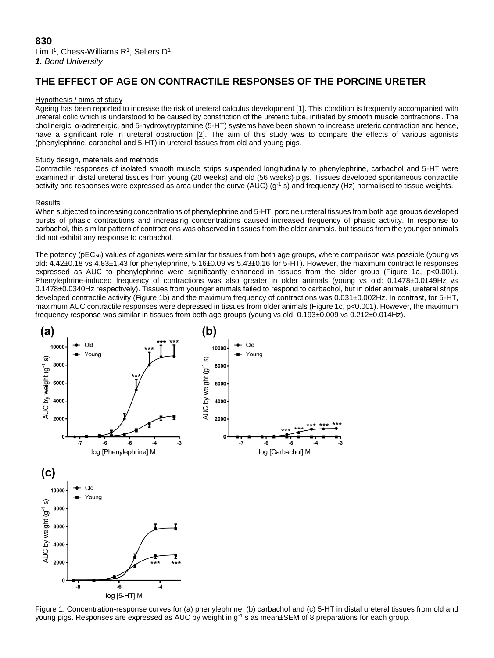# **THE EFFECT OF AGE ON CONTRACTILE RESPONSES OF THE PORCINE URETER**

### Hypothesis / aims of study

Ageing has been reported to increase the risk of ureteral calculus development [1]. This condition is frequently accompanied with ureteral colic which is understood to be caused by constriction of the ureteric tube, initiated by smooth muscle contractions. The cholinergic, α-adrenergic, and 5-hydroxytryptamine (5-HT) systems have been shown to increase ureteric contraction and hence, have a significant role in ureteral obstruction [2]. The aim of this study was to compare the effects of various agonists (phenylephrine, carbachol and 5-HT) in ureteral tissues from old and young pigs.

# Study design, materials and methods

Contractile responses of isolated smooth muscle strips suspended longitudinally to phenylephrine, carbachol and 5-HT were examined in distal ureteral tissues from young (20 weeks) and old (56 weeks) pigs. Tissues developed spontaneous contractile activity and responses were expressed as area under the curve (AUC) ( $g^{-1}$  s) and frequenzy (Hz) normalised to tissue weights.

# Results

When subjected to increasing concentrations of phenylephrine and 5-HT, porcine ureteral tissues from both age groups developed bursts of phasic contractions and increasing concentrations caused increased frequency of phasic activity. In response to carbachol, this similar pattern of contractions was observed in tissues from the older animals, but tissues from the younger animals did not exhibit any response to carbachol.

The potency (pEC50) values of agonists were similar for tissues from both age groups, where comparison was possible (young vs old: 4.42±0.18 vs 4.83±1.43 for phenylephrine, 5.16±0.09 vs 5.43±0.16 for 5-HT). However, the maximum contractile responses expressed as AUC to phenylephrine were significantly enhanced in tissues from the older group (Figure 1a, p<0.001). Phenylephrine-induced frequency of contractions was also greater in older animals (young vs old: 0.1478±0.0149Hz vs 0.1478±0.0340Hz respectively). Tissues from younger animals failed to respond to carbachol, but in older animals, ureteral strips developed contractile activity (Figure 1b) and the maximum frequency of contractions was 0.031±0.002Hz. In contrast, for 5-HT, maximum AUC contractile responses were depressed in tissues from older animals (Figure 1c, p<0.001). However, the maximum frequency response was similar in tissues from both age groups (young vs old, 0.193±0.009 vs 0.212±0.014Hz).



Figure 1: Concentration-response curves for (a) phenylephrine, (b) carbachol and (c) 5-HT in distal ureteral tissues from old and young pigs. Responses are expressed as AUC by weight in g<sup>-1</sup> s as mean±SEM of 8 preparations for each group.